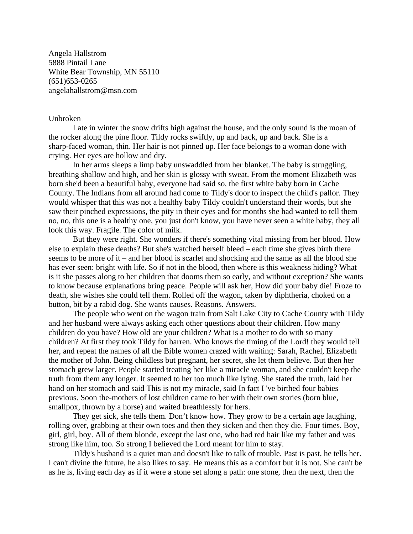Angela Hallstrom 5888 Pintail Lane White Bear Township, MN 55110 (651)653-0265 angelahallstrom@msn.com

## Unbroken

 Late in winter the snow drifts high against the house, and the only sound is the moan of the rocker along the pine floor. Tildy rocks swiftly, up and back, up and back. She is a sharp-faced woman, thin. Her hair is not pinned up. Her face belongs to a woman done with crying. Her eyes are hollow and dry.

 In her arms sleeps a limp baby unswaddled from her blanket. The baby is struggling, breathing shallow and high, and her skin is glossy with sweat. From the moment Elizabeth was born she'd been a beautiful baby, everyone had said so, the first white baby born in Cache County. The Indians from all around had come to Tildy's door to inspect the child's pallor. They would whisper that this was not a healthy baby Tildy couldn't understand their words, but she saw their pinched expressions, the pity in their eyes and for months she had wanted to tell them no, no, this one is a healthy one, you just don't know, you have never seen a white baby, they all look this way. Fragile. The color of milk.

 But they were right. She wonders if there's something vital missing from her blood. How else to explain these deaths? But she's watched herself bleed – each time she gives birth there seems to be more of it – and her blood is scarlet and shocking and the same as all the blood she has ever seen: bright with life. So if not in the blood, then where is this weakness hiding? What is it she passes along to her children that dooms them so early, and without exception? She wants to know because explanations bring peace. People will ask her, How did your baby die! Froze to death, she wishes she could tell them. Rolled off the wagon, taken by diphtheria, choked on a button, bit by a rabid dog. She wants causes. Reasons. Answers.

 The people who went on the wagon train from Salt Lake City to Cache County with Tildy and her husband were always asking each other questions about their children. How many children do you have? How old are your children? What is a mother to do with so many children? At first they took Tildy for barren. Who knows the timing of the Lord! they would tell her, and repeat the names of all the Bible women crazed with waiting: Sarah, Rachel, Elizabeth the mother of John. Being childless but pregnant, her secret, she let them believe. But then her stomach grew larger. People started treating her like a miracle woman, and she couldn't keep the truth from them any longer. It seemed to her too much like lying. She stated the truth, laid her hand on her stomach and said This is not my miracle, said In fact I 've birthed four babies previous. Soon the-mothers of lost children came to her with their own stories (born blue, smallpox, thrown by a horse) and waited breathlessly for hers.

 They get sick, she tells them. Don't know how. They grow to be a certain age laughing, rolling over, grabbing at their own toes and then they sicken and then they die. Four times. Boy, girl, girl, boy. All of them blonde, except the last one, who had red hair like my father and was strong like him, too. So strong I believed the Lord meant for him to stay.

 Tildy's husband is a quiet man and doesn't like to talk of trouble. Past is past, he tells her. I can't divine the future, he also likes to say. He means this as a comfort but it is not. She can't be as he is, living each day as if it were a stone set along a path: one stone, then the next, then the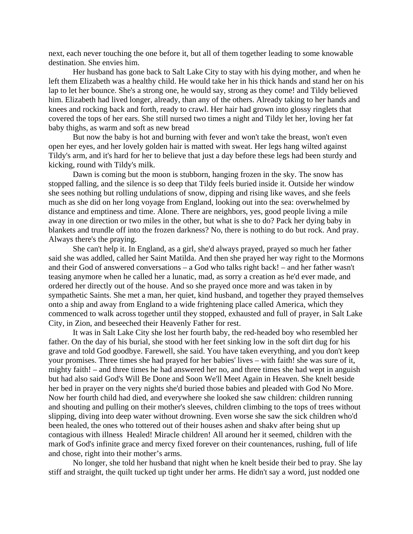next, each never touching the one before it, but all of them together leading to some knowable destination. She envies him.

 Her husband has gone back to Salt Lake City to stay with his dying mother, and when he left them Elizabeth was a healthy child. He would take her in his thick hands and stand her on his lap to let her bounce. She's a strong one, he would say, strong as they come! and Tildy believed him. Elizabeth had lived longer, already, than any of the others. Already taking to her hands and knees and rocking back and forth, ready to crawl. Her hair had grown into glossy ringlets that covered the tops of her ears. She still nursed two times a night and Tildy let her, loving her fat baby thighs, as warm and soft as new bread

 But now the baby is hot and burning with fever and won't take the breast, won't even open her eyes, and her lovely golden hair is matted with sweat. Her legs hang wilted against Tildy's arm, and it's hard for her to believe that just a day before these legs had been sturdy and kicking, round with Tildy's milk.

 Dawn is coming but the moon is stubborn, hanging frozen in the sky. The snow has stopped falling, and the silence is so deep that Tildy feels buried inside it. Outside her window she sees nothing but rolling undulations of snow, dipping and rising like waves, and she feels much as she did on her long voyage from England, looking out into the sea: overwhelmed by distance and emptiness and time. Alone. There are neighbors, yes, good people living a mile away in one direction or two miles in the other, but what is she to do? Pack her dying baby in blankets and trundle off into the frozen darkness? No, there is nothing to do but rock. And pray. Always there's the praying.

 She can't help it. In England, as a girl, she'd always prayed, prayed so much her father said she was addled, called her Saint Matilda. And then she prayed her way right to the Mormons and their God of answered conversations – a God who talks right back! – and her father wasn't teasing anymore when he called her a lunatic, mad, as sorry a creation as he'd ever made, and ordered her directly out of the house. And so she prayed once more and was taken in by sympathetic Saints. She met a man, her quiet, kind husband, and together they prayed themselves onto a ship and away from England to a wide frightening place called America, which they commenced to walk across together until they stopped, exhausted and full of prayer, in Salt Lake City, in Zion, and beseeched their Heavenly Father for rest.

 It was in Salt Lake City she lost her fourth baby, the red-headed boy who resembled her father. On the day of his burial, she stood with her feet sinking low in the soft dirt dug for his grave and told God goodbye. Farewell, she said. You have taken everything, and you don't keep your promises. Three times she had prayed for her babies' lives – with faith! she was sure of it, mighty faith! – and three times he had answered her no, and three times she had wept in anguish but had also said God's Will Be Done and Soon We'll Meet Again in Heaven. She knelt beside her bed in prayer on the very nights she'd buried those babies and pleaded with God No More. Now her fourth child had died, and everywhere she looked she saw children: children running and shouting and pulling on their mother's sleeves, children climbing to the tops of trees without slipping, diving into deep water without drowning. Even worse she saw the sick children who'd been healed, the ones who tottered out of their houses ashen and shakv after being shut up contagious with illness Healed! Miracle children! All around her it seemed, children with the mark of God's infinite grace and mercy fixed forever on their countenances, rushing, full of life and chose, right into their mother's arms.

 No longer, she told her husband that night when he knelt beside their bed to pray. She lay stiff and straight, the quilt tucked up tight under her arms. He didn't say a word, just nodded one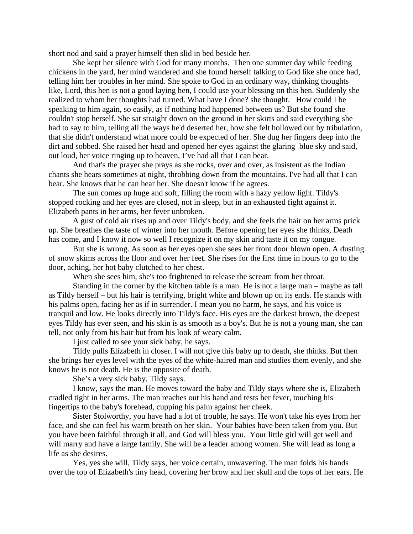short nod and said a prayer himself then slid in bed beside her.

 She kept her silence with God for many months. Then one summer day while feeding chickens in the yard, her mind wandered and she found herself talking to God like she once had, telling him her troubles in her mind. She spoke to God in an ordinary way, thinking thoughts like, Lord, this hen is not a good laying hen, I could use your blessing on this hen. Suddenly she realized to whom her thoughts had turned. What have I done? she thought. How could I be speaking to him again, so easily, as if nothing had happened between us? But she found she couldn't stop herself. She sat straight down on the ground in her skirts and said everything she had to say to him, telling all the ways he'd deserted her, how she felt hollowed out by tribulation, that she didn't understand what more could be expected of her. She dug her fingers deep into the dirt and sobbed. She raised her head and opened her eyes against the glaring blue sky and said, out loud, her voice ringing up to heaven, I've had all that I can bear.

 And that's the prayer she prays as she rocks, over and over, as insistent as the Indian chants she hears sometimes at night, throbbing down from the mountains. I've had all that I can bear. She knows that he can hear her. She doesn't know if he agrees.

 The sun comes up huge and soft, filling the room with a hazy yellow light. Tildy's stopped rocking and her eyes are closed, not in sleep, but in an exhausted fight against it. Elizabeth pants in her arms, her fever unbroken.

 A gust of cold air rises up and over Tildy's body, and she feels the hair on her arms prick up. She breathes the taste of winter into her mouth. Before opening her eyes she thinks, Death has come, and I know it now so well I recognize it on my skin arid taste it on my tongue.

 But she is wrong. As soon as her eyes open she sees her front door blown open. A dusting of snow skims across the floor and over her feet. She rises for the first time in hours to go to the door, aching, her hot baby clutched to her chest.

When she sees him, she's too frightened to release the scream from her throat.

 Standing in the corner by the kitchen table is a man. He is not a large man – maybe as tall as Tildy herself – but his hair is terrifying, bright white and blown up on its ends. He stands with his palms open, facing her as if in surrender. I mean you no harm, he says, and his voice is tranquil and low. He looks directly into Tildy's face. His eyes are the darkest brown, the deepest eyes Tildy has ever seen, and his skin is as smooth as a boy's. But he is not a young man, she can tell, not only from his hair but from his look of weary calm.

I just called to see your sick baby, he says.

 Tildy pulls Elizabeth in closer. I will not give this baby up to death, she thinks. But then she brings her eyes level with the eyes of the white-haired man and studies them evenly, and she knows he is not death. He is the opposite of death.

She's a very sick baby, Tildy says.

 I know, says the man. He moves toward the baby and Tildy stays where she is, Elizabeth cradled tight in her arms. The man reaches out his hand and tests her fever, touching his fingertips to the baby's forehead, cupping his palm against her cheek.

 Sister Stolworthy, you have had a lot of trouble, he says. He won't take his eyes from her face, and she can feel his warm breath on her skin. Your babies have been taken from you. But you have been faithful through it all, and God will bless you. Your little girl will get well and will marry and have a large family. She will be a leader among women. She will lead as long a life as she desires.

 Yes, yes she will, Tildy says, her voice certain, unwavering. The man folds his hands over the top of Elizabeth's tiny head, covering her brow and her skull and the tops of her ears. He